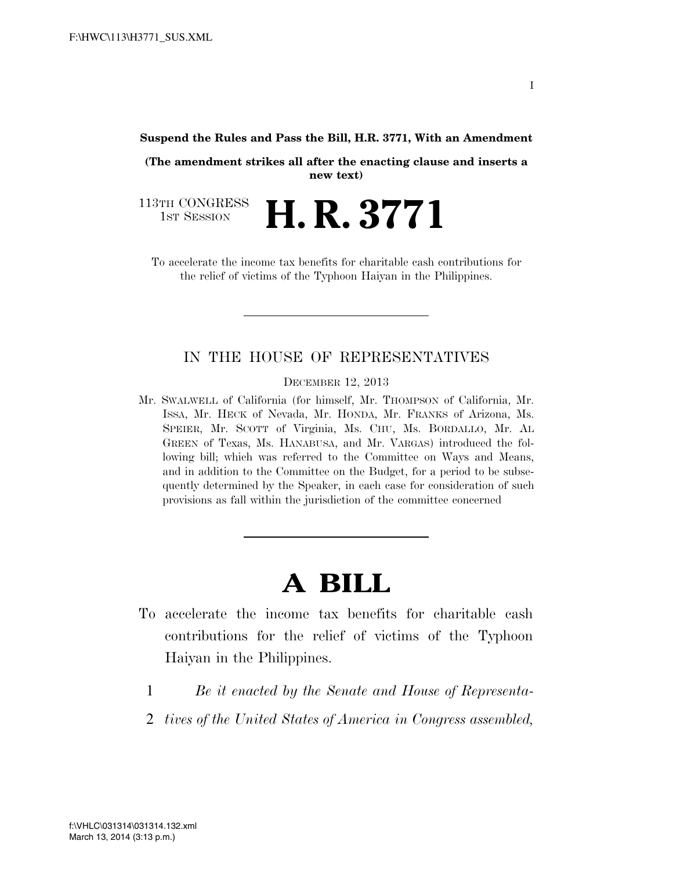#### **Suspend the Rules and Pass the Bill, H.R. 3771, With an Amendment**

**(The amendment strikes all after the enacting clause and inserts a new text)** 

113TH CONGRESS<br>1st Session 1ST SESSION **H. R. 3771**

To accelerate the income tax benefits for charitable cash contributions for the relief of victims of the Typhoon Haiyan in the Philippines.

### IN THE HOUSE OF REPRESENTATIVES

DECEMBER 12, 2013

Mr. SWALWELL of California (for himself, Mr. THOMPSON of California, Mr. ISSA, Mr. HECK of Nevada, Mr. HONDA, Mr. FRANKS of Arizona, Ms. SPEIER, Mr. SCOTT of Virginia, Ms. CHU, Ms. BORDALLO, Mr. AL GREEN of Texas, Ms. HANABUSA, and Mr. VARGAS) introduced the following bill; which was referred to the Committee on Ways and Means, and in addition to the Committee on the Budget, for a period to be subsequently determined by the Speaker, in each case for consideration of such provisions as fall within the jurisdiction of the committee concerned

# **A BILL**

- To accelerate the income tax benefits for charitable cash contributions for the relief of victims of the Typhoon Haiyan in the Philippines.
	- 1 *Be it enacted by the Senate and House of Representa-*
	- 2 *tives of the United States of America in Congress assembled,*